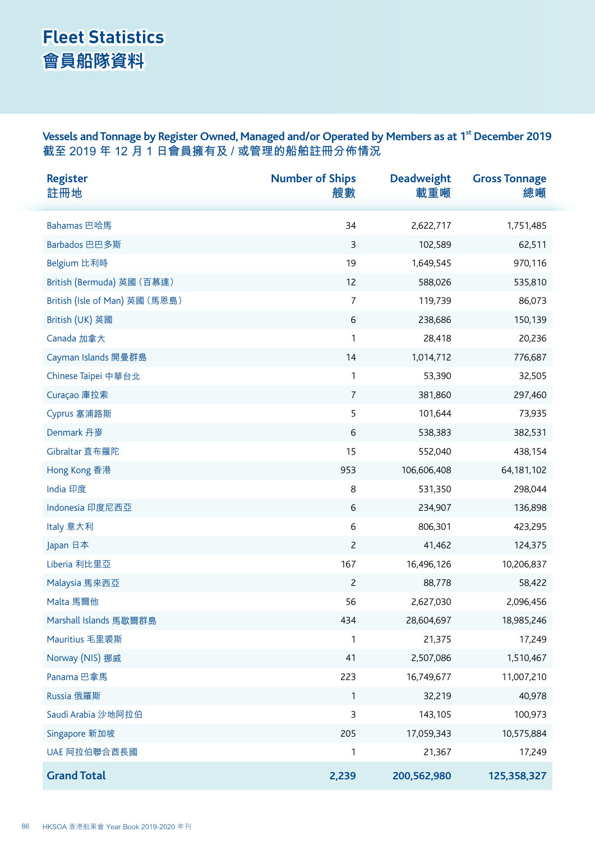## **Fleet Statistics 會員船隊資料**

Vessels and Tonnage by Register Owned, Managed and/or Operated by Members as at 1<sup>st</sup> December 2019 **截至 2019 年 12 月 1 日會員擁有及 / 或管理的船舶註冊分佈情況**

| <b>Register</b><br>註冊地         | <b>Number of Ships</b><br>艘數 | <b>Deadweight</b><br>載重噸 | <b>Gross Tonnage</b><br>總噸 |
|--------------------------------|------------------------------|--------------------------|----------------------------|
| Bahamas 巴哈馬                    | 34                           | 2,622,717                | 1,751,485                  |
| Barbados 巴巴多斯                  | $\overline{3}$               | 102,589                  | 62,511                     |
| Belgium 比利時                    | 19                           | 1,649,545                | 970,116                    |
| British (Bermuda) 英國 (百慕達)     | 12                           | 588,026                  | 535,810                    |
| British (Isle of Man) 英國 (馬恩島) | $\overline{7}$               | 119,739                  | 86,073                     |
| British (UK) 英國                | 6                            | 238,686                  | 150,139                    |
| Canada 加拿大                     | 1                            | 28,418                   | 20,236                     |
| Cayman Islands 開曼群島            | 14                           | 1,014,712                | 776,687                    |
| Chinese Taipei 中華台北            | $\mathbf{1}$                 | 53,390                   | 32,505                     |
| Curaçao 庫拉索                    | $\overline{7}$               | 381,860                  | 297,460                    |
| Cyprus 塞浦路斯                    | 5                            | 101,644                  | 73,935                     |
| Denmark 丹麥                     | 6                            | 538,383                  | 382,531                    |
| Gibraltar 直布羅陀                 | 15                           | 552,040                  | 438,154                    |
| Hong Kong 香港                   | 953                          | 106,606,408              | 64, 181, 102               |
| India 印度                       | 8                            | 531,350                  | 298,044                    |
| Indonesia 印度尼西亞                | 6                            | 234,907                  | 136,898                    |
| Italy 意大利                      | 6                            | 806,301                  | 423,295                    |
| Japan 日本                       | $\overline{c}$               | 41,462                   | 124,375                    |
| Liberia 利比里亞                   | 167                          | 16,496,126               | 10,206,837                 |
| Malaysia 馬來西亞                  | $\overline{c}$               | 88,778                   | 58,422                     |
| Malta 馬爾他                      | 56                           | 2,627,030                | 2,096,456                  |
| Marshall Islands 馬歇爾群島         | 434                          | 28,604,697               | 18,985,246                 |
| Mauritius 毛里裘斯                 | $\mathbf{1}$                 | 21,375                   | 17,249                     |
| Norway (NIS) 挪威                | 41                           | 2,507,086                | 1,510,467                  |
| Panama 巴拿馬                     | 223                          | 16,749,677               | 11,007,210                 |
| Russia 俄羅斯                     | $\mathbf{1}$                 | 32,219                   | 40,978                     |
| Saudi Arabia 沙地阿拉伯             | 3                            | 143,105                  | 100,973                    |
| Singapore 新加坡                  | 205                          | 17,059,343               | 10,575,884                 |
| UAE 阿拉伯聯合酋長國                   | 1                            | 21,367                   | 17,249                     |
| <b>Grand Total</b>             | 2,239                        | 200,562,980              | 125,358,327                |